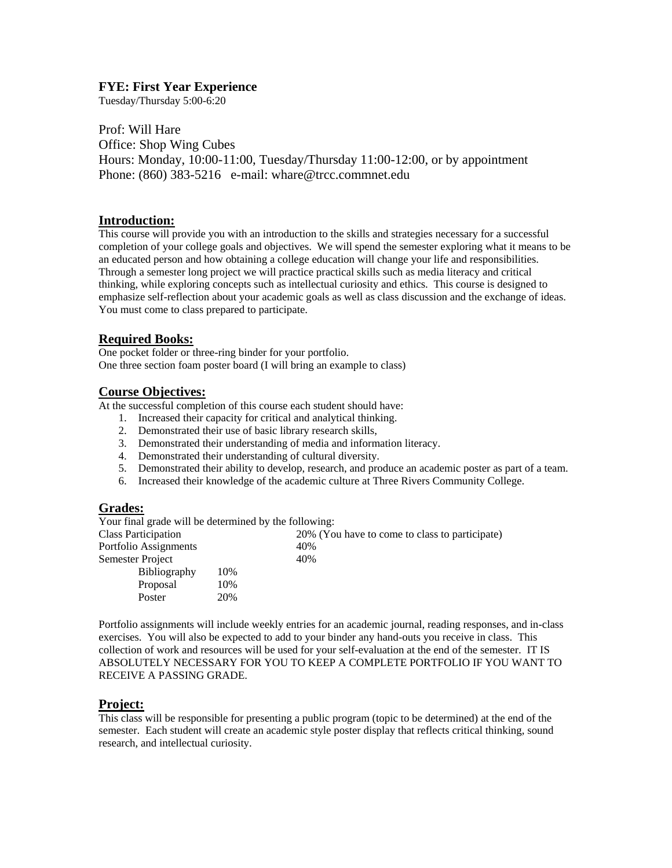### **FYE: First Year Experience**

Tuesday/Thursday 5:00-6:20

Prof: Will Hare Office: Shop Wing Cubes Hours: Monday, 10:00-11:00, Tuesday/Thursday 11:00-12:00, or by appointment Phone: (860) 383-5216 e-mail: whare@trcc.commnet.edu

### **Introduction:**

This course will provide you with an introduction to the skills and strategies necessary for a successful completion of your college goals and objectives. We will spend the semester exploring what it means to be an educated person and how obtaining a college education will change your life and responsibilities. Through a semester long project we will practice practical skills such as media literacy and critical thinking, while exploring concepts such as intellectual curiosity and ethics. This course is designed to emphasize self-reflection about your academic goals as well as class discussion and the exchange of ideas. You must come to class prepared to participate.

## **Required Books:**

One pocket folder or three-ring binder for your portfolio. One three section foam poster board (I will bring an example to class)

## **Course Objectives:**

At the successful completion of this course each student should have:

- 1. Increased their capacity for critical and analytical thinking.
- 2. Demonstrated their use of basic library research skills,
- 3. Demonstrated their understanding of media and information literacy.
- 4. Demonstrated their understanding of cultural diversity.
- 5. Demonstrated their ability to develop, research, and produce an academic poster as part of a team.
- 6. Increased their knowledge of the academic culture at Three Rivers Community College.

#### **Grades:**

Your final grade will be determined by the following:

| Class Participation   |     | 20% (You have to come to class to participate) |
|-----------------------|-----|------------------------------------------------|
| Portfolio Assignments |     | 40%                                            |
| Semester Project      |     | 40%                                            |
| <b>Bibliography</b>   | 10% |                                                |
| Proposal              | 10% |                                                |
| Poster                | 20% |                                                |

Portfolio assignments will include weekly entries for an academic journal, reading responses, and in-class exercises. You will also be expected to add to your binder any hand-outs you receive in class. This collection of work and resources will be used for your self-evaluation at the end of the semester. IT IS ABSOLUTELY NECESSARY FOR YOU TO KEEP A COMPLETE PORTFOLIO IF YOU WANT TO RECEIVE A PASSING GRADE.

### **Project:**

This class will be responsible for presenting a public program (topic to be determined) at the end of the semester. Each student will create an academic style poster display that reflects critical thinking, sound research, and intellectual curiosity.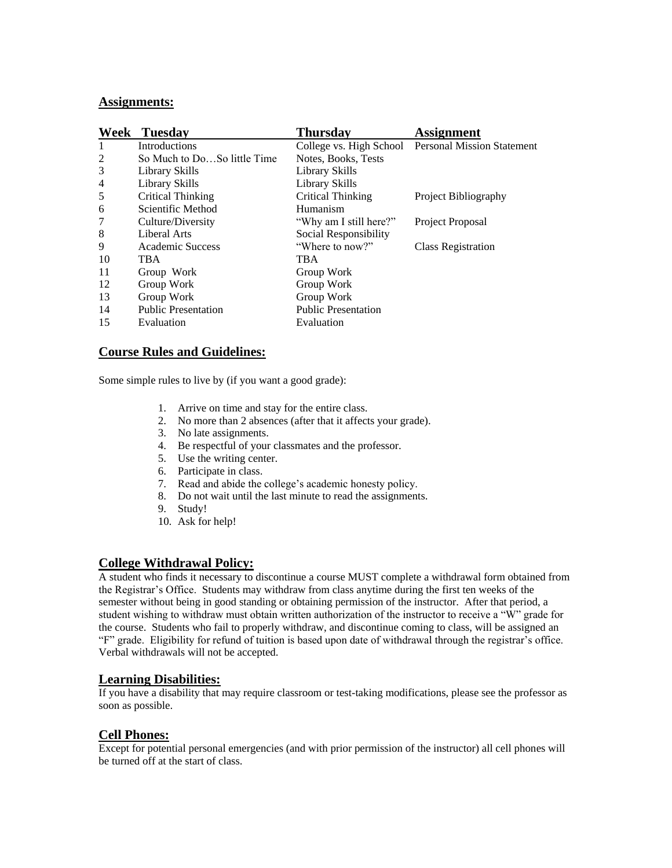#### **Assignments:**

| Week           | <b>Tuesday</b>              | <b>Thursday</b>            | <b>Assignment</b>                                  |
|----------------|-----------------------------|----------------------------|----------------------------------------------------|
| 1              | <b>Introductions</b>        |                            | College vs. High School Personal Mission Statement |
| 2              | So Much to DoSo little Time | Notes, Books, Tests        |                                                    |
| 3              | Library Skills              | Library Skills             |                                                    |
| $\overline{4}$ | Library Skills              | Library Skills             |                                                    |
| 5              | <b>Critical Thinking</b>    | Critical Thinking          | Project Bibliography                               |
| 6              | Scientific Method           | Humanism                   |                                                    |
| 7              | Culture/Diversity           | "Why am I still here?"     | Project Proposal                                   |
| 8              | Liberal Arts                | Social Responsibility      |                                                    |
| 9              | Academic Success            | "Where to now?"            | <b>Class Registration</b>                          |
| 10             | <b>TBA</b>                  | <b>TBA</b>                 |                                                    |
| 11             | Group Work                  | Group Work                 |                                                    |
| 12             | Group Work                  | Group Work                 |                                                    |
| 13             | Group Work                  | Group Work                 |                                                    |
| 14             | <b>Public Presentation</b>  | <b>Public Presentation</b> |                                                    |
| 15             | Evaluation                  | Evaluation                 |                                                    |

### **Course Rules and Guidelines:**

Some simple rules to live by (if you want a good grade):

- 1. Arrive on time and stay for the entire class.
- 2. No more than 2 absences (after that it affects your grade).
- 3. No late assignments.
- 4. Be respectful of your classmates and the professor.
- 5. Use the writing center.
- 6. Participate in class.
- 7. Read and abide the college's academic honesty policy.
- 8. Do not wait until the last minute to read the assignments.
- 9. Study!
- 10. Ask for help!

# **College Withdrawal Policy:**

A student who finds it necessary to discontinue a course MUST complete a withdrawal form obtained from the Registrar's Office. Students may withdraw from class anytime during the first ten weeks of the semester without being in good standing or obtaining permission of the instructor. After that period, a student wishing to withdraw must obtain written authorization of the instructor to receive a "W" grade for the course. Students who fail to properly withdraw, and discontinue coming to class, will be assigned an "F" grade. Eligibility for refund of tuition is based upon date of withdrawal through the registrar's office. Verbal withdrawals will not be accepted.

### **Learning Disabilities:**

If you have a disability that may require classroom or test-taking modifications, please see the professor as soon as possible.

## **Cell Phones:**

Except for potential personal emergencies (and with prior permission of the instructor) all cell phones will be turned off at the start of class.